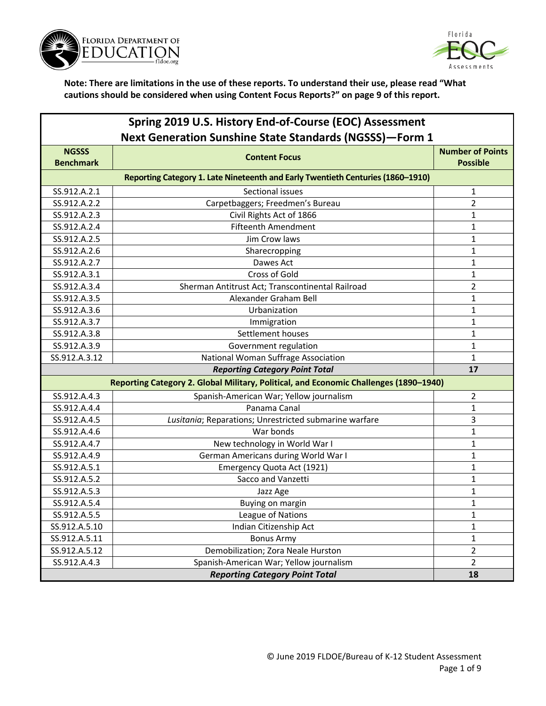



| Spring 2019 U.S. History End-of-Course (EOC) Assessment<br><b>Next Generation Sunshine State Standards (NGSSS)-Form 1</b> |                                                                                       |                                            |
|---------------------------------------------------------------------------------------------------------------------------|---------------------------------------------------------------------------------------|--------------------------------------------|
| <b>NGSSS</b><br><b>Benchmark</b>                                                                                          | <b>Content Focus</b>                                                                  | <b>Number of Points</b><br><b>Possible</b> |
|                                                                                                                           | Reporting Category 1. Late Nineteenth and Early Twentieth Centuries (1860-1910)       |                                            |
| SS.912.A.2.1                                                                                                              | Sectional issues                                                                      | 1                                          |
| SS.912.A.2.2                                                                                                              | Carpetbaggers; Freedmen's Bureau                                                      | $\overline{2}$                             |
| SS.912.A.2.3                                                                                                              | Civil Rights Act of 1866                                                              | 1                                          |
| SS.912.A.2.4                                                                                                              | <b>Fifteenth Amendment</b>                                                            | 1                                          |
| SS.912.A.2.5                                                                                                              | Jim Crow laws                                                                         | 1                                          |
| SS.912.A.2.6                                                                                                              | Sharecropping                                                                         | $\mathbf{1}$                               |
| SS.912.A.2.7                                                                                                              | Dawes Act                                                                             | 1                                          |
| SS.912.A.3.1                                                                                                              | Cross of Gold                                                                         | 1                                          |
| SS.912.A.3.4                                                                                                              | Sherman Antitrust Act; Transcontinental Railroad                                      | 2                                          |
| SS.912.A.3.5                                                                                                              | Alexander Graham Bell                                                                 | 1                                          |
| SS.912.A.3.6                                                                                                              | Urbanization                                                                          | $\mathbf{1}$                               |
| SS.912.A.3.7                                                                                                              | Immigration                                                                           | 1                                          |
| SS.912.A.3.8                                                                                                              | Settlement houses                                                                     | 1                                          |
| SS.912.A.3.9                                                                                                              | Government regulation                                                                 | 1                                          |
| SS.912.A.3.12                                                                                                             | National Woman Suffrage Association                                                   | $\mathbf{1}$                               |
|                                                                                                                           | <b>Reporting Category Point Total</b>                                                 | 17                                         |
|                                                                                                                           | Reporting Category 2. Global Military, Political, and Economic Challenges (1890-1940) |                                            |
| SS.912.A.4.3                                                                                                              | Spanish-American War; Yellow journalism                                               | 2                                          |
| SS.912.A.4.4                                                                                                              | Panama Canal                                                                          | 1                                          |
| SS.912.A.4.5                                                                                                              | Lusitania; Reparations; Unrestricted submarine warfare                                | 3                                          |
| SS.912.A.4.6                                                                                                              | War bonds                                                                             | 1                                          |
| SS.912.A.4.7                                                                                                              | New technology in World War I                                                         | 1                                          |
| SS.912.A.4.9                                                                                                              | German Americans during World War I                                                   | 1                                          |
| SS.912.A.5.1                                                                                                              | Emergency Quota Act (1921)                                                            | $\mathbf{1}$                               |
| SS.912.A.5.2                                                                                                              | Sacco and Vanzetti                                                                    | 1                                          |
| SS.912.A.5.3                                                                                                              | Jazz Age                                                                              | 1                                          |
| SS.912.A.5.4                                                                                                              | Buying on margin                                                                      | 1                                          |
| SS.912.A.5.5                                                                                                              | League of Nations                                                                     | 1                                          |
| SS.912.A.5.10                                                                                                             | Indian Citizenship Act                                                                | $\mathbf{1}$                               |
| SS.912.A.5.11                                                                                                             | <b>Bonus Army</b>                                                                     | $\mathbf 1$                                |
| SS.912.A.5.12                                                                                                             | Demobilization; Zora Neale Hurston                                                    | $\overline{2}$                             |
| SS.912.A.4.3                                                                                                              | Spanish-American War; Yellow journalism                                               | $\overline{2}$                             |
|                                                                                                                           | <b>Reporting Category Point Total</b>                                                 | 18                                         |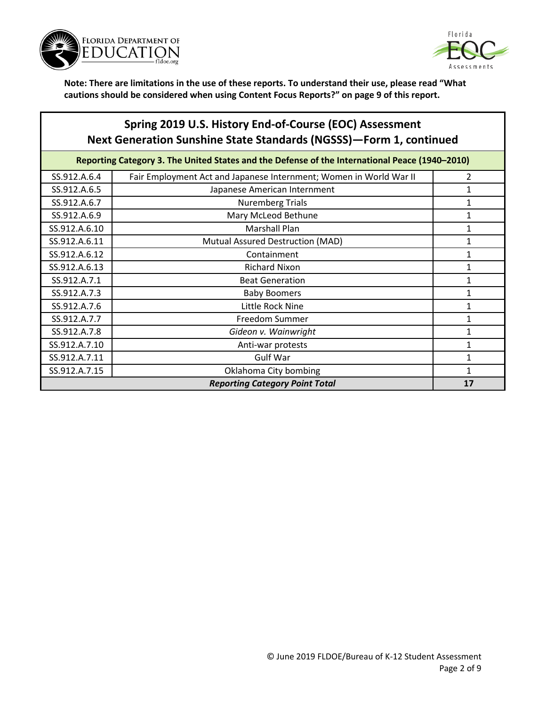



## **Spring 2019 U.S. History End-of-Course (EOC) Assessment Next Generation Sunshine State Standards (NGSSS)—Form 1, continued**

| Reporting Category 3. The United States and the Defense of the International Peace (1940-2010) |                                                                    |   |
|------------------------------------------------------------------------------------------------|--------------------------------------------------------------------|---|
| SS.912.A.6.4                                                                                   | Fair Employment Act and Japanese Internment; Women in World War II | 2 |
| SS.912.A.6.5                                                                                   | Japanese American Internment                                       | 1 |
| SS.912.A.6.7                                                                                   | <b>Nuremberg Trials</b>                                            | 1 |
| SS.912.A.6.9                                                                                   | Mary McLeod Bethune                                                | 1 |
| SS.912.A.6.10                                                                                  | <b>Marshall Plan</b>                                               | 1 |
| SS.912.A.6.11                                                                                  | Mutual Assured Destruction (MAD)                                   | 1 |
| SS.912.A.6.12                                                                                  | Containment                                                        | 1 |
| SS.912.A.6.13                                                                                  | <b>Richard Nixon</b>                                               | 1 |
| SS.912.A.7.1                                                                                   | <b>Beat Generation</b>                                             | 1 |
| SS.912.A.7.3                                                                                   | <b>Baby Boomers</b>                                                | 1 |
| SS.912.A.7.6                                                                                   | Little Rock Nine                                                   | 1 |
| SS.912.A.7.7                                                                                   | Freedom Summer                                                     | 1 |
| SS.912.A.7.8                                                                                   | Gideon v. Wainwright                                               | 1 |
| SS.912.A.7.10                                                                                  | Anti-war protests                                                  | 1 |
| SS.912.A.7.11                                                                                  | <b>Gulf War</b>                                                    | 1 |
| SS.912.A.7.15                                                                                  | Oklahoma City bombing                                              | 1 |
| <b>Reporting Category Point Total</b><br>17                                                    |                                                                    |   |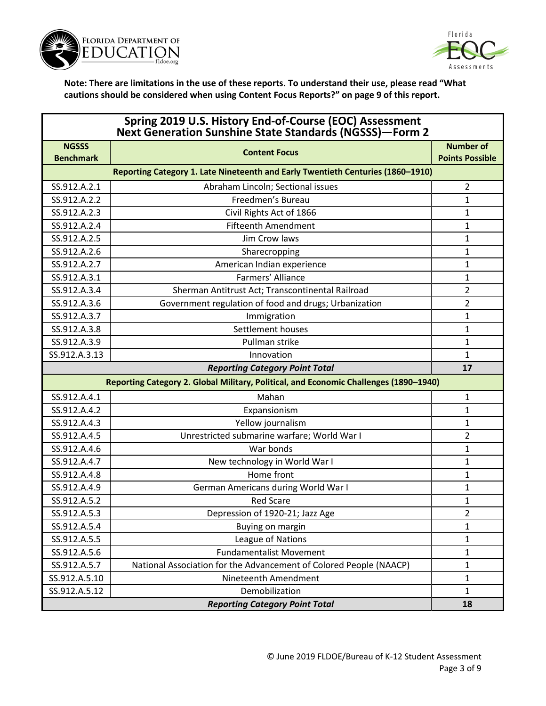



| Spring 2019 U.S. History End-of-Course (EOC) Assessment<br><b>Next Generation Sunshine State Standards (NGSSS)-Form 2</b> |                                                                                       |                                            |
|---------------------------------------------------------------------------------------------------------------------------|---------------------------------------------------------------------------------------|--------------------------------------------|
| <b>NGSSS</b><br><b>Benchmark</b>                                                                                          | <b>Content Focus</b>                                                                  | <b>Number of</b><br><b>Points Possible</b> |
|                                                                                                                           | Reporting Category 1. Late Nineteenth and Early Twentieth Centuries (1860-1910)       |                                            |
| SS.912.A.2.1                                                                                                              | Abraham Lincoln; Sectional issues                                                     | 2                                          |
| SS.912.A.2.2                                                                                                              | Freedmen's Bureau                                                                     | $\mathbf 1$                                |
| SS.912.A.2.3                                                                                                              | Civil Rights Act of 1866                                                              | 1                                          |
| SS.912.A.2.4                                                                                                              | <b>Fifteenth Amendment</b>                                                            | 1                                          |
| SS.912.A.2.5                                                                                                              | Jim Crow laws                                                                         | 1                                          |
| SS.912.A.2.6                                                                                                              | Sharecropping                                                                         | 1                                          |
| SS.912.A.2.7                                                                                                              | American Indian experience                                                            | 1                                          |
| SS.912.A.3.1                                                                                                              | Farmers' Alliance                                                                     | $\mathbf 1$                                |
| SS.912.A.3.4                                                                                                              | Sherman Antitrust Act; Transcontinental Railroad                                      | 2                                          |
| SS.912.A.3.6                                                                                                              | Government regulation of food and drugs; Urbanization                                 | 2                                          |
| SS.912.A.3.7                                                                                                              | Immigration                                                                           | 1                                          |
| SS.912.A.3.8                                                                                                              | Settlement houses                                                                     | 1                                          |
| SS.912.A.3.9                                                                                                              | Pullman strike                                                                        | 1                                          |
| SS.912.A.3.13                                                                                                             | Innovation                                                                            | 1                                          |
| <b>Reporting Category Point Total</b>                                                                                     |                                                                                       | 17                                         |
|                                                                                                                           | Reporting Category 2. Global Military, Political, and Economic Challenges (1890-1940) |                                            |
| SS.912.A.4.1                                                                                                              | Mahan                                                                                 | $\mathbf 1$                                |
| SS.912.A.4.2                                                                                                              | Expansionism                                                                          | 1                                          |
| SS.912.A.4.3                                                                                                              | Yellow journalism                                                                     | 1                                          |
| SS.912.A.4.5                                                                                                              | Unrestricted submarine warfare; World War I                                           | 2                                          |
| SS.912.A.4.6                                                                                                              | War bonds                                                                             | 1                                          |
| SS.912.A.4.7                                                                                                              | New technology in World War I                                                         | 1                                          |
| SS.912.A.4.8                                                                                                              | Home front                                                                            | 1                                          |
| SS.912.A.4.9                                                                                                              | German Americans during World War I                                                   | 1                                          |
| SS.912.A.5.2                                                                                                              | <b>Red Scare</b>                                                                      | 1                                          |
| SS.912.A.5.3                                                                                                              | Depression of 1920-21; Jazz Age                                                       | $\overline{2}$                             |
| SS.912.A.5.4                                                                                                              | Buying on margin                                                                      | 1                                          |
| SS.912.A.5.5                                                                                                              | League of Nations                                                                     | $\mathbf 1$                                |
| SS.912.A.5.6                                                                                                              | <b>Fundamentalist Movement</b>                                                        | $\mathbf 1$                                |
| SS.912.A.5.7                                                                                                              | National Association for the Advancement of Colored People (NAACP)                    | 1                                          |
| SS.912.A.5.10                                                                                                             | Nineteenth Amendment                                                                  | $\mathbf 1$                                |
| SS.912.A.5.12                                                                                                             | Demobilization                                                                        | 1                                          |
|                                                                                                                           | <b>Reporting Category Point Total</b>                                                 | 18                                         |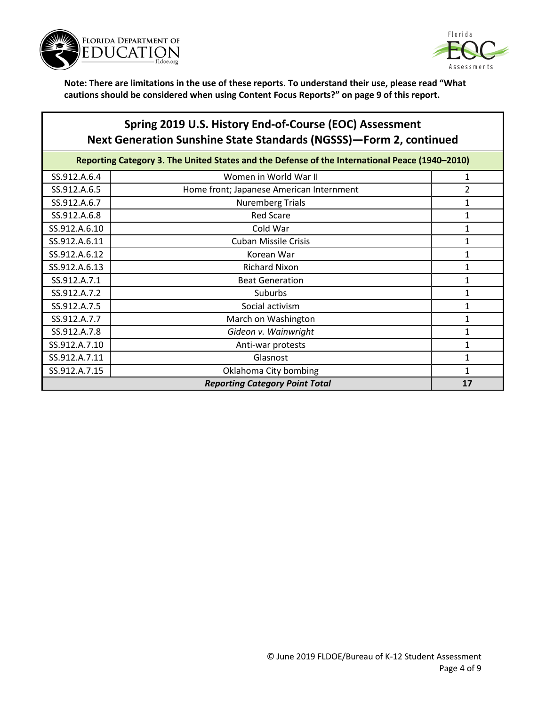



## **Spring 2019 U.S. History End-of-Course (EOC) Assessment Next Generation Sunshine State Standards (NGSSS)—Form 2, continued**

| Reporting Category 3. The United States and the Defense of the International Peace (1940-2010) |                                          |    |
|------------------------------------------------------------------------------------------------|------------------------------------------|----|
| SS.912.A.6.4                                                                                   | Women in World War II                    | 1  |
| SS.912.A.6.5                                                                                   | Home front; Japanese American Internment | 2  |
| SS.912.A.6.7                                                                                   | <b>Nuremberg Trials</b>                  | 1  |
| SS.912.A.6.8                                                                                   | <b>Red Scare</b>                         | 1  |
| SS.912.A.6.10                                                                                  | Cold War                                 | 1  |
| SS.912.A.6.11                                                                                  | <b>Cuban Missile Crisis</b>              | 1  |
| SS.912.A.6.12                                                                                  | Korean War                               | 1  |
| SS.912.A.6.13                                                                                  | <b>Richard Nixon</b>                     | 1  |
| SS.912.A.7.1                                                                                   | <b>Beat Generation</b>                   | 1  |
| SS.912.A.7.2                                                                                   | Suburbs                                  | 1  |
| SS.912.A.7.5                                                                                   | Social activism                          | 1  |
| SS.912.A.7.7                                                                                   | March on Washington                      | 1  |
| SS.912.A.7.8                                                                                   | Gideon v. Wainwright                     | 1  |
| SS.912.A.7.10                                                                                  | Anti-war protests                        | 1  |
| SS.912.A.7.11                                                                                  | Glasnost                                 | 1  |
| SS.912.A.7.15                                                                                  | Oklahoma City bombing                    | 1  |
|                                                                                                | <b>Reporting Category Point Total</b>    | 17 |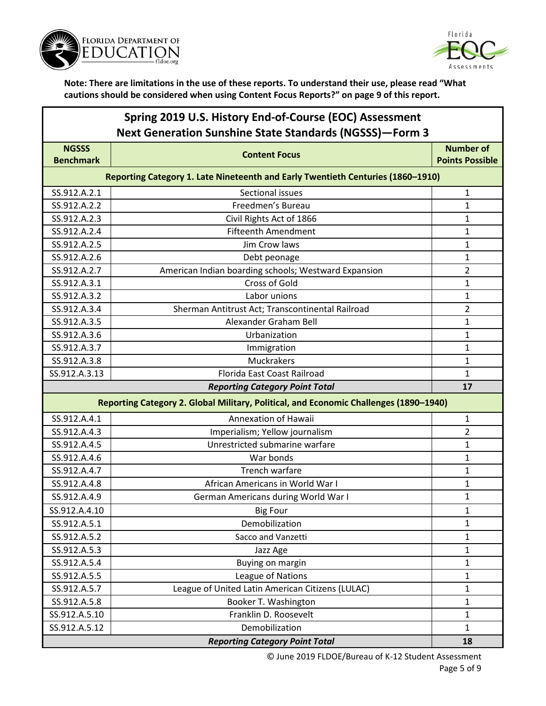



# **Spring 2019 U.S. History End-of-Course (EOC) Assessment Next Generation Sunshine State Standards (NGSSS)—Form 3**

| <b>NGSSS</b>                                                                          | <b>Content Focus</b>                                                            | <b>Number of</b>       |  |
|---------------------------------------------------------------------------------------|---------------------------------------------------------------------------------|------------------------|--|
| <b>Benchmark</b>                                                                      |                                                                                 | <b>Points Possible</b> |  |
|                                                                                       | Reporting Category 1. Late Nineteenth and Early Twentieth Centuries (1860-1910) |                        |  |
| SS.912.A.2.1                                                                          | Sectional issues                                                                | 1                      |  |
| SS.912.A.2.2                                                                          | Freedmen's Bureau                                                               | 1                      |  |
| SS.912.A.2.3                                                                          | Civil Rights Act of 1866                                                        | $\mathbf{1}$           |  |
| SS.912.A.2.4                                                                          | <b>Fifteenth Amendment</b>                                                      | $\mathbf 1$            |  |
| SS.912.A.2.5                                                                          | Jim Crow laws                                                                   | $\mathbf 1$            |  |
| SS.912.A.2.6                                                                          | Debt peonage                                                                    | $\mathbf{1}$           |  |
| SS.912.A.2.7                                                                          | American Indian boarding schools; Westward Expansion                            | $\overline{2}$         |  |
| SS.912.A.3.1                                                                          | Cross of Gold                                                                   | 1                      |  |
| SS.912.A.3.2                                                                          | Labor unions                                                                    | $\mathbf{1}$           |  |
| SS.912.A.3.4                                                                          | Sherman Antitrust Act; Transcontinental Railroad                                | $\overline{2}$         |  |
| SS.912.A.3.5                                                                          | Alexander Graham Bell                                                           | $\mathbf 1$            |  |
| SS.912.A.3.6                                                                          | Urbanization                                                                    | $\mathbf{1}$           |  |
| SS.912.A.3.7                                                                          | Immigration                                                                     | 1                      |  |
| SS.912.A.3.8                                                                          | Muckrakers                                                                      | 1                      |  |
| SS.912.A.3.13                                                                         | Florida East Coast Railroad                                                     | $\mathbf{1}$           |  |
| <b>Reporting Category Point Total</b>                                                 |                                                                                 |                        |  |
| Reporting Category 2. Global Military, Political, and Economic Challenges (1890-1940) |                                                                                 |                        |  |
| SS.912.A.4.1                                                                          | Annexation of Hawaii                                                            | $\mathbf{1}$           |  |
| SS.912.A.4.3                                                                          | Imperialism; Yellow journalism                                                  | $\overline{2}$         |  |
| SS.912.A.4.5                                                                          | Unrestricted submarine warfare                                                  | 1                      |  |
| SS.912.A.4.6                                                                          | War bonds                                                                       | $\mathbf 1$            |  |
| SS.912.A.4.7                                                                          | Trench warfare                                                                  | 1                      |  |
| SS.912.A.4.8                                                                          | African Americans in World War I                                                | 1                      |  |
| SS.912.A.4.9                                                                          | German Americans during World War I                                             | 1                      |  |
| SS.912.A.4.10                                                                         | <b>Big Four</b>                                                                 | 1                      |  |
| SS.912.A.5.1                                                                          | Demobilization                                                                  | 1                      |  |
| SS.912.A.5.2                                                                          | Sacco and Vanzetti                                                              | 1                      |  |
| SS.912.A.5.3                                                                          | Jazz Age                                                                        | 1                      |  |
| SS.912.A.5.4                                                                          | Buying on margin                                                                | 1                      |  |
| SS.912.A.5.5                                                                          | League of Nations                                                               | $\mathbf{1}$           |  |
| SS.912.A.5.7                                                                          | League of United Latin American Citizens (LULAC)                                | 1                      |  |
| SS.912.A.5.8                                                                          | Booker T. Washington                                                            | 1                      |  |
| SS.912.A.5.10                                                                         | Franklin D. Roosevelt                                                           | $\mathbf{1}$           |  |
| SS.912.A.5.12                                                                         | Demobilization                                                                  | $\mathbf{1}$           |  |
|                                                                                       | <b>Reporting Category Point Total</b>                                           | 18                     |  |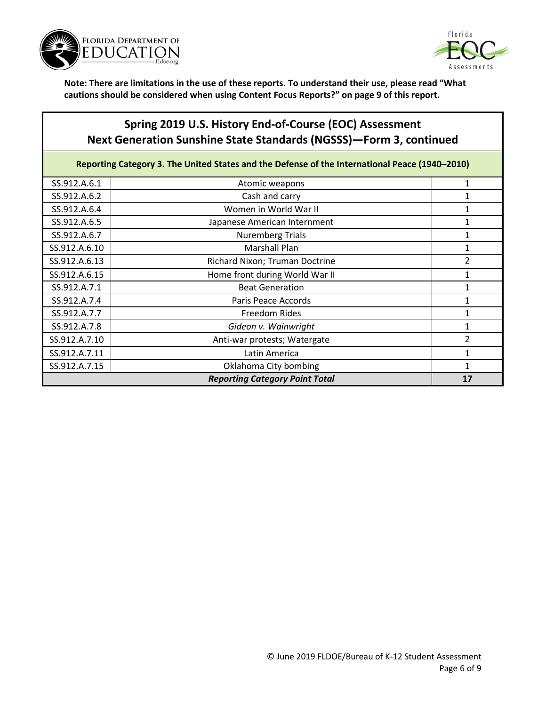



## **Spring 2019 U.S. History End-of-Course (EOC) Assessment Next Generation Sunshine State Standards (NGSSS)—Form 3, continued**

**Reporting Category 3. The United States and the Defense of the International Peace (1940–2010)**

| SS.912.A.6.1                          | Atomic weapons                 |               |
|---------------------------------------|--------------------------------|---------------|
| SS.912.A.6.2                          | Cash and carry                 |               |
| SS.912.A.6.4                          | Women in World War II          |               |
| SS.912.A.6.5                          | Japanese American Internment   |               |
| SS.912.A.6.7                          | <b>Nuremberg Trials</b>        |               |
| SS.912.A.6.10                         | <b>Marshall Plan</b>           |               |
| SS.912.A.6.13                         | Richard Nixon; Truman Doctrine | 2             |
| SS.912.A.6.15                         | Home front during World War II |               |
| SS.912.A.7.1                          | <b>Beat Generation</b>         |               |
| SS.912.A.7.4                          | Paris Peace Accords            |               |
| SS.912.A.7.7                          | Freedom Rides                  |               |
| SS.912.A.7.8                          | Gideon v. Wainwright           |               |
| SS.912.A.7.10                         | Anti-war protests; Watergate   | $\mathfrak z$ |
| SS.912.A.7.11                         | Latin America                  |               |
| SS.912.A.7.15                         | Oklahoma City bombing          |               |
| <b>Reporting Category Point Total</b> |                                | 17            |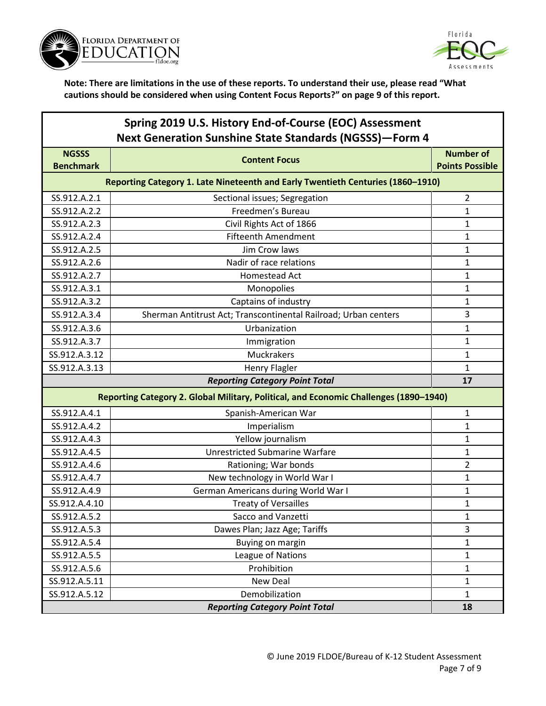



| Spring 2019 U.S. History End-of-Course (EOC) Assessment        |
|----------------------------------------------------------------|
| <b>Next Generation Sunshine State Standards (NGSSS)-Form 4</b> |

| <b>NGSSS</b>     | <b>Content Focus</b>                                                                  | <b>Number of</b>       |
|------------------|---------------------------------------------------------------------------------------|------------------------|
| <b>Benchmark</b> |                                                                                       | <b>Points Possible</b> |
|                  | Reporting Category 1. Late Nineteenth and Early Twentieth Centuries (1860-1910)       |                        |
| SS.912.A.2.1     | Sectional issues; Segregation                                                         | $\overline{2}$         |
| SS.912.A.2.2     | Freedmen's Bureau                                                                     | 1                      |
| SS.912.A.2.3     | Civil Rights Act of 1866                                                              | $\mathbf{1}$           |
| SS.912.A.2.4     | <b>Fifteenth Amendment</b>                                                            | 1                      |
| SS.912.A.2.5     | Jim Crow laws                                                                         | 1                      |
| SS.912.A.2.6     | Nadir of race relations                                                               | 1                      |
| SS.912.A.2.7     | Homestead Act                                                                         | 1                      |
| SS.912.A.3.1     | Monopolies                                                                            | 1                      |
| SS.912.A.3.2     | Captains of industry                                                                  | 1                      |
| SS.912.A.3.4     | Sherman Antitrust Act; Transcontinental Railroad; Urban centers                       | 3                      |
| SS.912.A.3.6     | Urbanization                                                                          | 1                      |
| SS.912.A.3.7     | Immigration                                                                           | 1                      |
| SS.912.A.3.12    | Muckrakers                                                                            | 1                      |
| SS.912.A.3.13    | <b>Henry Flagler</b>                                                                  | $\mathbf{1}$           |
|                  | <b>Reporting Category Point Total</b>                                                 | 17                     |
|                  | Reporting Category 2. Global Military, Political, and Economic Challenges (1890-1940) |                        |
| SS.912.A.4.1     | Spanish-American War                                                                  | $\mathbf{1}$           |
| SS.912.A.4.2     | Imperialism                                                                           | 1                      |
| SS.912.A.4.3     | Yellow journalism                                                                     | 1                      |
| SS.912.A.4.5     | <b>Unrestricted Submarine Warfare</b>                                                 | 1                      |
| SS.912.A.4.6     | Rationing; War bonds                                                                  | 2                      |
| SS.912.A.4.7     | New technology in World War I                                                         | $\mathbf{1}$           |
| SS.912.A.4.9     | German Americans during World War I                                                   | $\mathbf 1$            |
| SS.912.A.4.10    | <b>Treaty of Versailles</b>                                                           | 1                      |
| SS.912.A.5.2     | Sacco and Vanzetti                                                                    | 1                      |
| SS.912.A.5.3     | Dawes Plan; Jazz Age; Tariffs                                                         | 3                      |
| SS.912.A.5.4     | Buying on margin                                                                      | 1                      |
| SS.912.A.5.5     | League of Nations                                                                     | $\mathbf{1}$           |
| SS.912.A.5.6     | Prohibition                                                                           | $\mathbf{1}$           |
| SS.912.A.5.11    | New Deal                                                                              | $\mathbf{1}$           |
| SS.912.A.5.12    | Demobilization                                                                        | $\mathbf{1}$           |
|                  | <b>Reporting Category Point Total</b>                                                 | 18                     |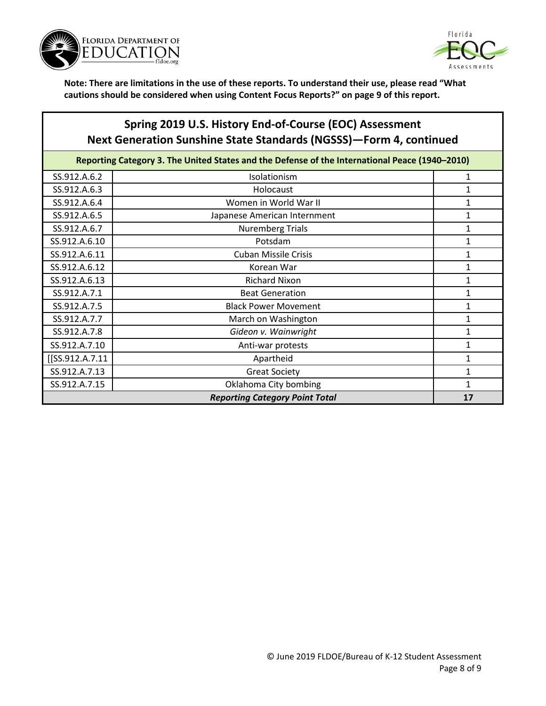



## **Spring 2019 U.S. History End-of-Course (EOC) Assessment Next Generation Sunshine State Standards (NGSSS)—Form 4, continued**

| Reporting Category 3. The United States and the Defense of the International Peace (1940-2010) |                              |   |
|------------------------------------------------------------------------------------------------|------------------------------|---|
| SS.912.A.6.2                                                                                   | Isolationism                 |   |
| SS.912.A.6.3                                                                                   | Holocaust                    |   |
| SS.912.A.6.4                                                                                   | Women in World War II        |   |
| SS.912.A.6.5                                                                                   | Japanese American Internment |   |
| SS.912.A.6.7                                                                                   | <b>Nuremberg Trials</b>      |   |
| SS.912.A.6.10                                                                                  | Potsdam                      | 1 |
| SS.912.A.6.11                                                                                  | <b>Cuban Missile Crisis</b>  | 1 |
| SS.912.A.6.12                                                                                  | Korean War                   | 1 |
| SS.912.A.6.13                                                                                  | <b>Richard Nixon</b>         | 1 |
| SS.912.A.7.1                                                                                   | <b>Beat Generation</b>       | 1 |
| SS.912.A.7.5                                                                                   | <b>Black Power Movement</b>  |   |
| SS.912.A.7.7                                                                                   | March on Washington          |   |
| SS.912.A.7.8                                                                                   | Gideon v. Wainwright         |   |
| SS.912.A.7.10                                                                                  | Anti-war protests            |   |
| [[SS.912.A.7.11                                                                                | Apartheid                    |   |
| SS.912.A.7.13                                                                                  | <b>Great Society</b>         |   |
| SS.912.A.7.15                                                                                  | Oklahoma City bombing        |   |
| <b>Reporting Category Point Total</b>                                                          |                              |   |